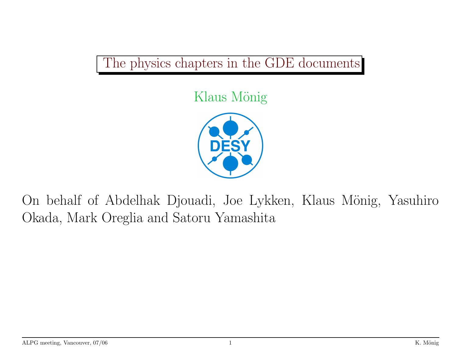## The physics chapters in the GDE documents

## Klaus Mönig



On behalf of Abdelhak Djouadi, Joe Lykken, Klaus Mönig, Yasuhiro Okada, Mark Oreglia and Satoru Yamashita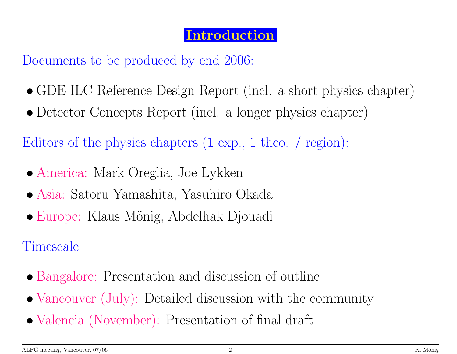#### Introduction

Documents to be produced by end 2006:

- GDE ILC Reference Design Report (incl. <sup>a</sup> short <sup>p</sup>hysics chapter)
- Detector Concepts Report (incl. <sup>a</sup> longer <sup>p</sup>hysics chapter)

Editors of the <sup>p</sup>hysics chapters (1 exp., <sup>1</sup> theo. / region):

- America: Mark Oreglia, Joe Lykken
- Asia: Satoru Yamashita, Yasuhiro Okada
- Europe: Klaus Mönig, Abdelhak Djouadi

Timescale

- Bangalore: Presentation and discussion of outline
- Vancouver (July): Detailed discussion with the community
- Valencia (November): Presentation of final draft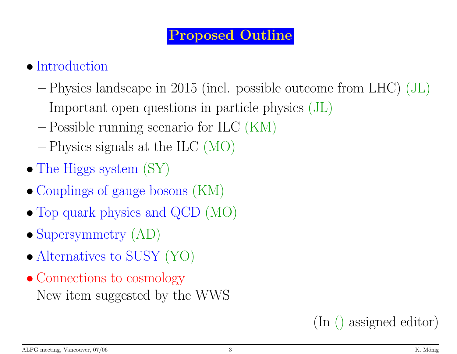#### Proposed Outline

# • Introduction

- Physics landscape in <sup>2015</sup> (incl. possible outcome from LHC) (JL)
- -Important open questions in particle physics (JL)
- Possible running scenario for ILC (KM)
- Physics signals at the ILC (MO)
- The Higgs system  $(SY)$
- Couplings of gauge bosons (KM)
- Top quar<sup>k</sup> <sup>p</sup>hysics and QCD (MO)
- Supersymmetry  $(AD)$
- Alternatives to SUSY (YO)
- Connections to cosmology New item suggested by the WWS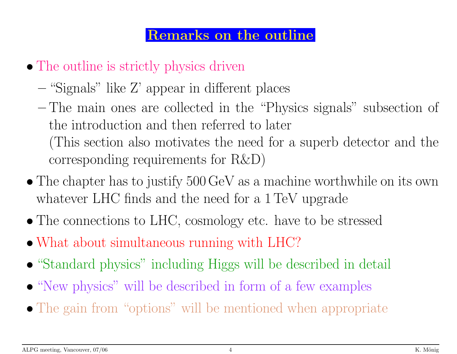#### Remarks on the outline

- The outline is strictly physics driven
	- "Signals" like Z' appear in different <sup>p</sup>laces
	- The main ones are collected in the "Physics signals" subsection of the introduction and then referred to later (This section also motivates the need for <sup>a</sup> superb detector and the corresponding requirements for R&D)
- The chapter has to justify 500 GeV as <sup>a</sup> machine worthwhile on its own whatever LHC finds and the need for <sup>a</sup> 1TeV upgrade
- The connections to LHC, cosmology etc. have to be stressed
- What about simultaneous running with LHC?
- "Standard physics" including Higgs will be described in detail
- "New <sup>p</sup>hysics" will be described in form of <sup>a</sup> few examples
- The gain from "options" will be mentioned when appropriate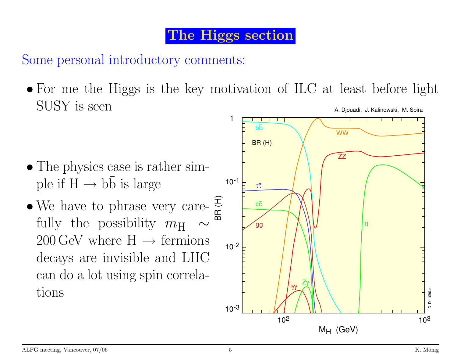## The Higgs section

Some personal introductory comments:

- $\bullet$  For me the Higgs is the key motivation of ILC at least before light SUSY is seen A. Djouadi, J. Kalinowski, M. Spira
- 1 bbWWBR (H) ZZ• The physics case is rather simple if  $H \rightarrow bb$  is large 10-<sup>1</sup> ττ• We have to phrase very care- $\frac{1}{\mathfrak{B}}$ cc fully the possibility  $m_{\rm H}$  ∼ tt gg  $200\,\text{GeV}$  where  $H \rightarrow$  fermions 10-<sup>2</sup> decays are invisible and LHC can do <sup>a</sup> lot using spin correla-Zγ γγ tions D\_D\_1090.c **D** 1090  $10^{-3}$  $\epsilon$

 $10^2$  and  $10^3$ 

 $M_H$  (GeV)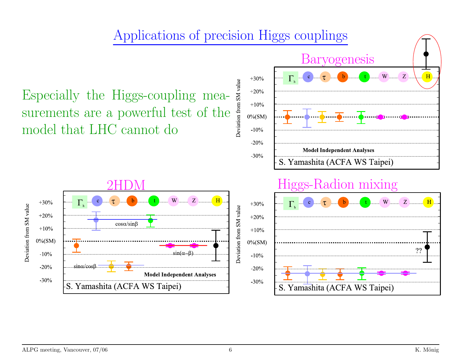

ALPG meeting, Vancouver, 07/06 **K.** Mönig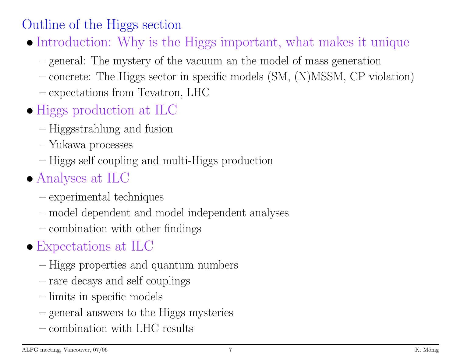## Outline of the Higgs section

- Introduction: Why is the Higgs important, what makes it unique
	- general: The mystery of the vacuum an the model of mass generation
	- concrete: The Higgs sector in specific models (SM, (N)MSSM, CP violation)
	- expectations from Tevatron, LHC
- Higgs production at ILC
	- Higgsstrahlung and fusion
	- Yukawa processes
	- Higgs self coupling and multi-Higgs production

# • Analyses at ILC

- experimental techniques
- model dependent and model independent analyses
- combination with other findings

# • Expectations at ILC

- Higgs properties and quantum numbers
- rare decays and self couplings
- limits in specific models
- general answers to the Higgs mysteries
- combination with LHC results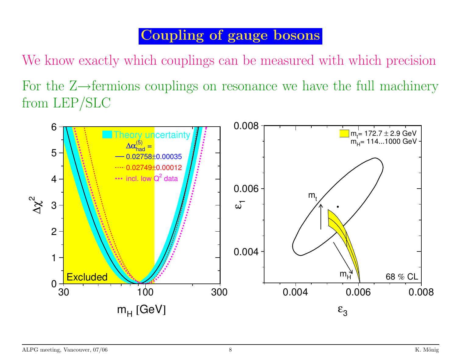## Coupling of gauge bosons

We know exactly which couplings can be measured with which precision For the Z→fermions couplings on resonance we have the full machinery from LEP/SLC

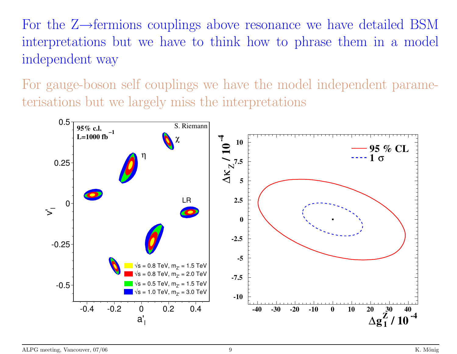For the Z→fermions couplings above resonance we have detailed BSM interpretations but we have to think how to phrase them in <sup>a</sup> model independent way

For gauge-boson self couplings we have the model independent parameterisations but we largely miss the interpretations

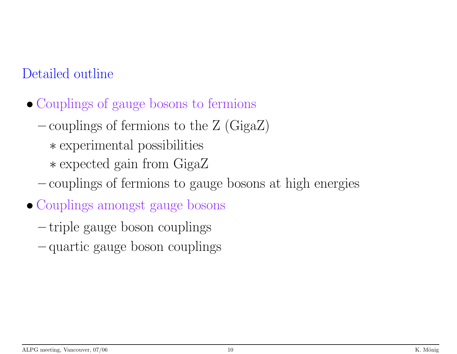- Couplings of gauge bosons to fermions
	- $-$  couplings of fermions to the Z (GigaZ)
		- ∗ experimental possibilities
		- ∗ expected gain from GigaZ
	- couplings of fermions to gauge bosons at high energies
- Couplings amongs<sup>t</sup> gauge bosons
	- triple gauge boson couplings
	- quartic gauge boson couplings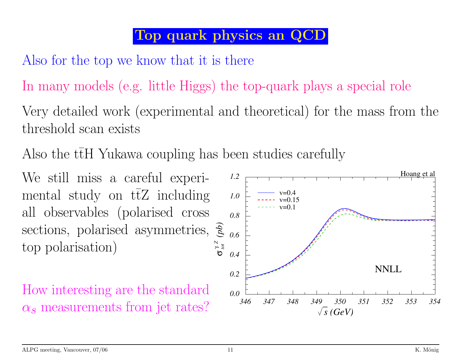## Top quark physics an QCD

Also for the top we know that it is there

In many models (e.g. little Higgs) the top-quark <sup>p</sup>lays <sup>a</sup> special role

Very detailed work (experimental and theoretical) for the mass from the threshold scan exists

Also the  $t\overline{t}$ tH Yukawa coupling has been studies carefully

We still miss <sup>a</sup> careful experimental study on  $t\overline{t}Z$  including all observables (polarised cross sections, polarised asymmetries,  $\frac{2}{3}$ top polarisation)

How interesting are the standard

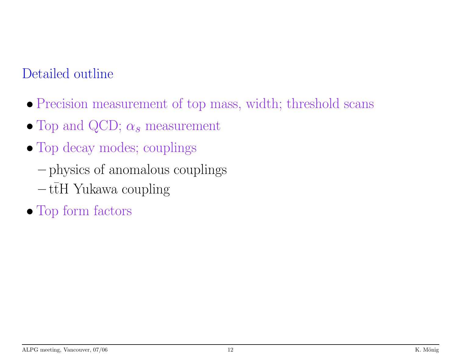- Precision measurement of top mass, width; threshold scans
- Top and QCD;  $\alpha_s$  measurement
- Top decay modes; couplings
	- <sup>p</sup>hysics of anomalous couplings
	- $-\,{\mathrm{t\bar t}}$ tH Yukawa coupling
- Top form factors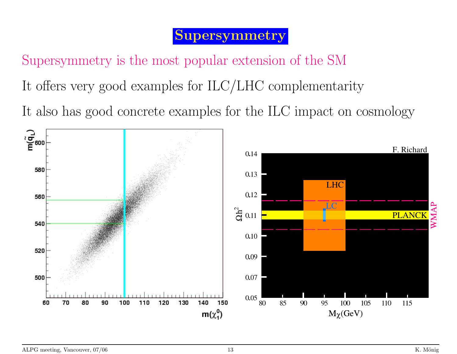#### Supersymmetry

Supersymmetry is the most popular extension of the SM

It offers very good examples for ILC/LHC complementarity

It also has good concrete examples for the ILC impact on cosmology

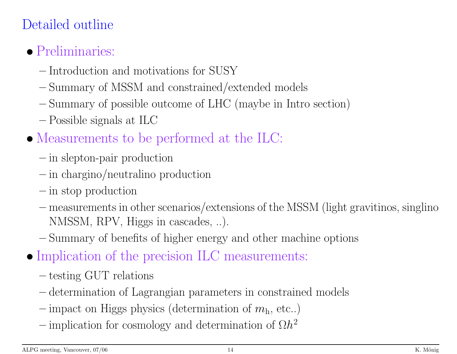- Preliminaries:
	- Introduction and motivations for SUSY
	- Summary of MSSM and constrained/extended models
	- Summary of possible outcome of LHC (maybe in Intro section)
	- Possible signals at ILC
- Measurements to be performed at the ILC:
	- in slepton-pair production
	- $\frac{1}{\pi}$  in chargino/neutralino production
	- $-\text{ in stop production}$
	- measurements in other scenarios/extensions of the MSSM (light gravitinos, singlino NMSSM, RPV, Higgs in cascades, ..).
	- Summary of benefits of higher energy and other machine options
- Implication of the precision ILC measurements:
	- $-$  testing GUT relations
	- determination of Lagrangian parameters in constrained models
	- $-$  impact on Higgs physics (determination of  $m<sub>h</sub>$ , etc..)
	- $\sim$  implication for cosmology and determination of  $\Omega h^2$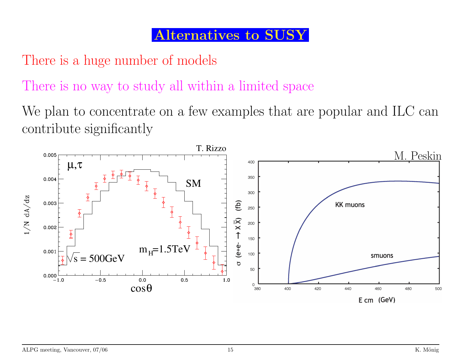### Alternatives to SUSY

There is <sup>a</sup> huge number of models

There is no way to study all within <sup>a</sup> limited space

We plan to concentrate on <sup>a</sup> few examples that are popular and ILC can contribute significantly

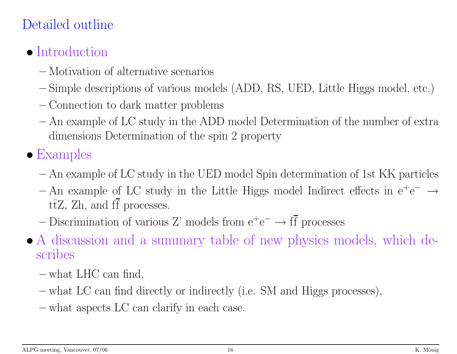# • Introduction

- Motivation of alternative scenarios
- Simple descriptions of various models (ADD, RS, UED, Little Higgs model, etc.)
- Connection to dark matter problems
- An example of LC study in the ADD model Determination of the number of extra dimensions Determination of the spin 2 property

# • Examples

- An example of LC study in the UED model Spin determination of 1st KK particles
- $-An$  example of LC study in the Little Higgs model Indirect effects in  $e^+e^- \rightarrow$ t tZ, Zh, and ff processes.
- Discrimination of various Z' models from  $e^+e^- \rightarrow ff$  processes
- A discussion and <sup>a</sup> summary table of new <sup>p</sup>hysics models, which describes
	- what LHC can find,
	- what LC can find directly or indirectly (i.e. SM and Higgs processes),
	- what aspects LC can clarify in each case.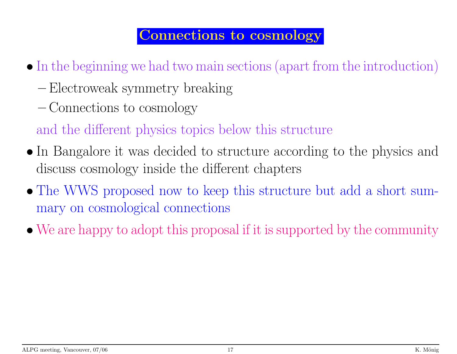#### Connections to cosmology

- In the beginning we had two main sections (apart from the introduction)
	- Electroweak symmetry breaking
	- Connections to cosmology
	- and the different <sup>p</sup>hysics topics below this structure
- In Bangalore it was decided to structure according to the physics and discuss cosmology inside the different chapters
- The WWS proposed now to keep this structure but add <sup>a</sup> short summary on cosmological connections
- We are happy to adopt this proposal if it is supported by the community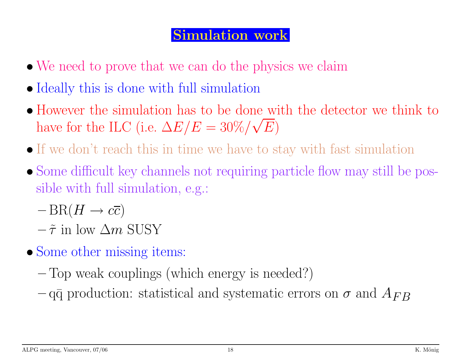#### Simulation work

- We need to prove that we can do the physics we claim
- Ideally this is done with full simulation
- However the simulation has to be done with the detector we think to have for the ILC (i.e.  $\Delta E/E = 30\%/\sqrt{E}$ )
- If we don't reach this in time we have to stay with fast simulation
- Some difficult key channels not requiring particle flow may still be possible with full simulation, e.g.:
	- $-\operatorname{BR}(H\to c\overline{c})$
	- $-\tilde{\tau}$  in low  $\Delta m$  SUSY
- Some other missing items:
	- Top weak couplings (which energy is needed?)
	- $-$ qq̃ production: statistical and systematic errors on  $\sigma$  and  $A_{FB}$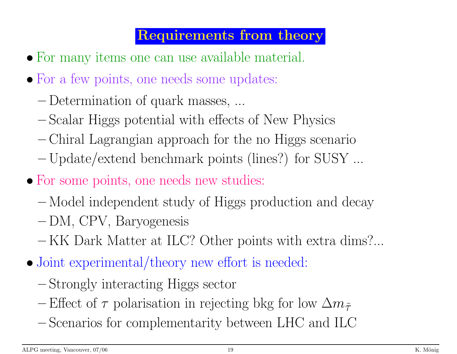## Requirements from theory

- For many items one can use available material.
- For a few points, one needs some updates:
	- Determination of quark masses, ...
	- Scalar Higgs potential with effects of New Physics
	- Chiral Lagrangian approach for the no Higgs scenario
	- Update/extend benchmark points (lines?) for SUSY ...
- For some points, one needs new studies:
	- Model independent study of Higgs production and decay
	- DM, CPV, Baryogenesis
	- KK Dark Matter at ILC? Other points with extra dims?...
- Joint experimental/theory new effort is needed:
	- Strongly interacting Higgs sector
	- Effect of  $\tau$  polarisation in rejecting bkg for low  $\Delta m_{\tilde{\tau}}$
	- Scenarios for complementarity between LHC and ILC